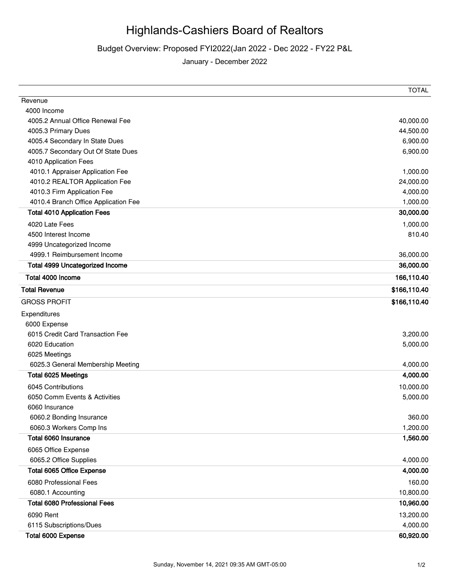## Highlands-Cashiers Board of Realtors

Budget Overview: Proposed FYI2022(Jan 2022 - Dec 2022 - FY22 P&L

January - December 2022

|                                        | <b>TOTAL</b> |
|----------------------------------------|--------------|
| Revenue                                |              |
| 4000 Income                            |              |
| 4005.2 Annual Office Renewal Fee       | 40,000.00    |
| 4005.3 Primary Dues                    | 44,500.00    |
| 4005.4 Secondary In State Dues         | 6,900.00     |
| 4005.7 Secondary Out Of State Dues     | 6,900.00     |
| 4010 Application Fees                  |              |
| 4010.1 Appraiser Application Fee       | 1,000.00     |
| 4010.2 REALTOR Application Fee         | 24,000.00    |
| 4010.3 Firm Application Fee            | 4,000.00     |
| 4010.4 Branch Office Application Fee   | 1,000.00     |
| <b>Total 4010 Application Fees</b>     | 30,000.00    |
| 4020 Late Fees                         | 1,000.00     |
| 4500 Interest Income                   | 810.40       |
| 4999 Uncategorized Income              |              |
| 4999.1 Reimbursement Income            | 36,000.00    |
| <b>Total 4999 Uncategorized Income</b> | 36,000.00    |
| Total 4000 Income                      | 166,110.40   |
| <b>Total Revenue</b>                   | \$166,110.40 |
| <b>GROSS PROFIT</b>                    | \$166,110.40 |
| Expenditures                           |              |
| 6000 Expense                           |              |
| 6015 Credit Card Transaction Fee       | 3,200.00     |
| 6020 Education                         | 5,000.00     |
| 6025 Meetings                          |              |
| 6025.3 General Membership Meeting      | 4,000.00     |
| Total 6025 Meetings                    | 4,000.00     |
| 6045 Contributions                     | 10,000.00    |
| 6050 Comm Events & Activities          | 5,000.00     |
| 6060 Insurance                         |              |
| 6060.2 Bonding Insurance               | 360.00       |
| 6060.3 Workers Comp Ins                | 1,200.00     |
| Total 6060 Insurance                   | 1,560.00     |
| 6065 Office Expense                    |              |
| 6065.2 Office Supplies                 | 4,000.00     |
| Total 6065 Office Expense              | 4,000.00     |
| 6080 Professional Fees                 | 160.00       |
| 6080.1 Accounting                      | 10,800.00    |
| <b>Total 6080 Professional Fees</b>    | 10,960.00    |
| 6090 Rent                              | 13,200.00    |
| 6115 Subscriptions/Dues                | 4,000.00     |
| Total 6000 Expense                     | 60,920.00    |